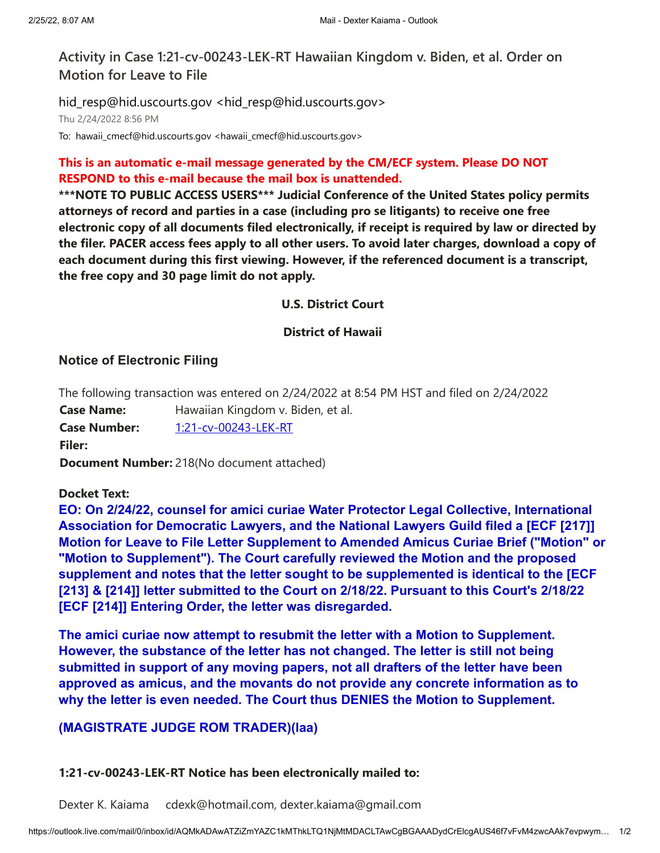**Activity in Case 1:21-cv-00243-LEK-RT Hawaiian Kingdom v. Biden, et al. Order on Motion for Leave to File**

hid\_resp@hid.uscourts.gov <hid\_resp@hid.uscourts.gov> Thu 2/24/2022 8:56 PM To: hawaii\_cmecf@hid.uscourts.gov <hawaii\_cmecf@hid.uscourts.gov>

# **This is an automatic e-mail message generated by the CM/ECF system. Please DO NOT RESPOND to this e-mail because the mail box is unattended.**

**\*\*\*NOTE TO PUBLIC ACCESS USERS\*\*\* Judicial Conference of the United States policy permits attorneys of record and parties in a case (including pro se litigants) to receive one free electronic copy of all documents filed electronically, if receipt is required by law or directed by the filer. PACER access fees apply to all other users. To avoid later charges, download a copy of each document during this first viewing. However, if the referenced document is a transcript, the free copy and 30 page limit do not apply.**

#### **U.S. District Court**

#### **District of Hawaii**

## **Notice of Electronic Filing**

The following transaction was entered on 2/24/2022 at 8:54 PM HST and filed on 2/24/2022 **Case Name:** Hawaiian Kingdom v. Biden, et al.

**Case Number:** [1:21-cv-00243-LEK-RT](https://ecf.hid.uscourts.gov/cgi-bin/DktRpt.pl?154617) **Filer:**

**Document Number:** 218(No document attached)

## **Docket Text:**

**EO: On 2/24/22, counsel for amici curiae Water Protector Legal Collective, International Association for Democratic Lawyers, and the National Lawyers Guild filed a [ECF [217]] Motion for Leave to File Letter Supplement to Amended Amicus Curiae Brief ("Motion" or "Motion to Supplement"). The Court carefully reviewed the Motion and the proposed supplement and notes that the letter sought to be supplemented is identical to the [ECF [213] & [214]] letter submitted to the Court on 2/18/22. Pursuant to this Court's 2/18/22 [ECF [214]] Entering Order, the letter was disregarded.**

**The amici curiae now attempt to resubmit the letter with a Motion to Supplement. However, the substance of the letter has not changed. The letter is still not being submitted in support of any moving papers, not all drafters of the letter have been approved as amicus, and the movants do not provide any concrete information as to why the letter is even needed. The Court thus DENIES the Motion to Supplement.**

# **(MAGISTRATE JUDGE ROM TRADER)(laa)**

#### **1:21-cv-00243-LEK-RT Notice has been electronically mailed to:**

Dexter K. Kaiama cdexk@hotmail.com, dexter.kaiama@gmail.com